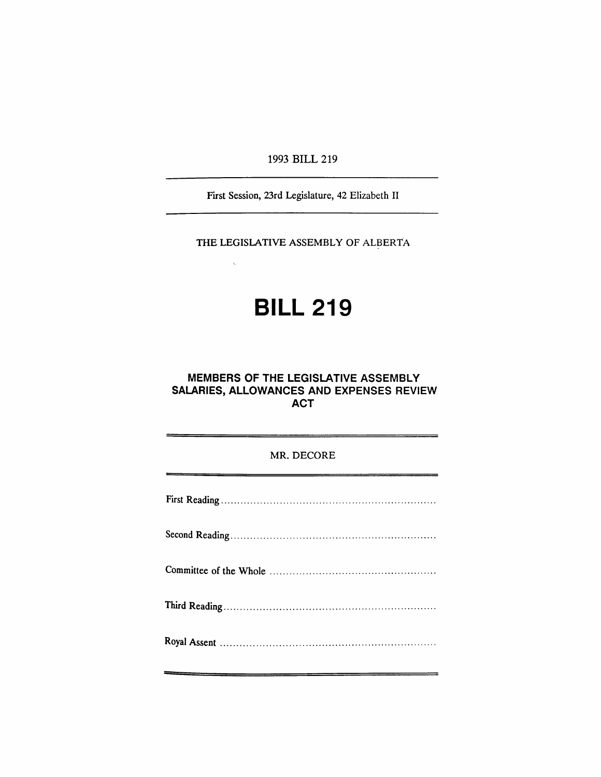1993 BILL 219

First Session, 23rd Legislature, 42 Elizabeth II

THE LEGISLATIVE ASSEMBLY OF ALBERTA

# **BILL 219**

## **MEMBERS OF THE LEGISLATIVE ASSEMBLY SALARIES, ALLOWANCES AND EXPENSES REVIEW ACT**

## MR. DECORE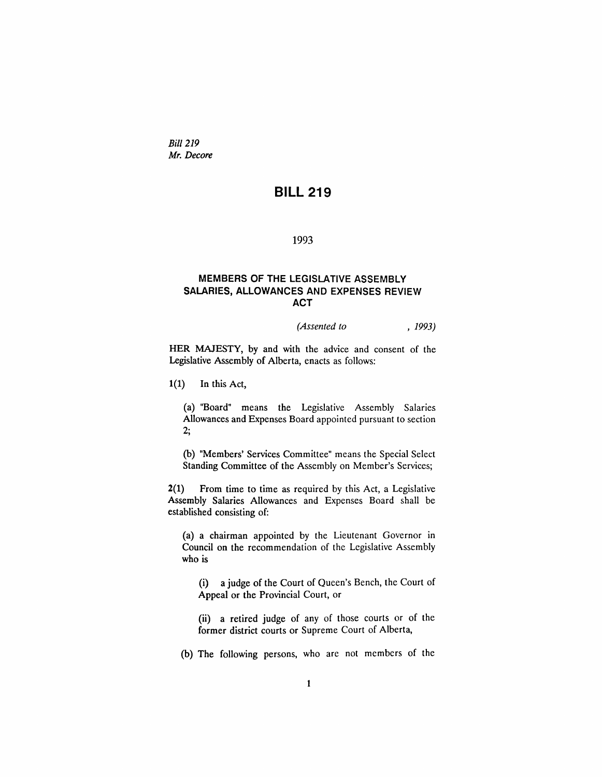*Bill 219 Mr. Decore*

# **BILL** 219

## 1993

## MEMBERS OF THE LEGISLATIVE ASSEMBLY SALARIES, ALLOWANCES AND EXPENSES REVIEW ACT

#### *(Assented to* , 1993)

HER MAJESTY, by and with the advice and consent of the Legislative Assembly of Alberta, enacts as follows:

1(1) In this Act,

(a) "Board" means the Legislative Assembly Salaries Allowances and Expenses Board appointed pursuant to section 2·,

(b) "Members' Services Committee" means the Special Select Standing Committee of the Assembly on Member's Services;

2(1) From time to time as required by this Act, a Legislative Assembly Salaries Allowances and Expenses Board shall be established consisting of:

(a) a chairman appointed by the Lieutenant Governor in Council on the recommendation of the Legislative Assembly who is

(i) a judge of the Court of Queen's Bench, the Court of Appeal or the Provincial Court, or

(ii) a retired judge of any of those courts or of the former district courts or Supreme Court of Alberta,

(b) The following persons, who are not members of the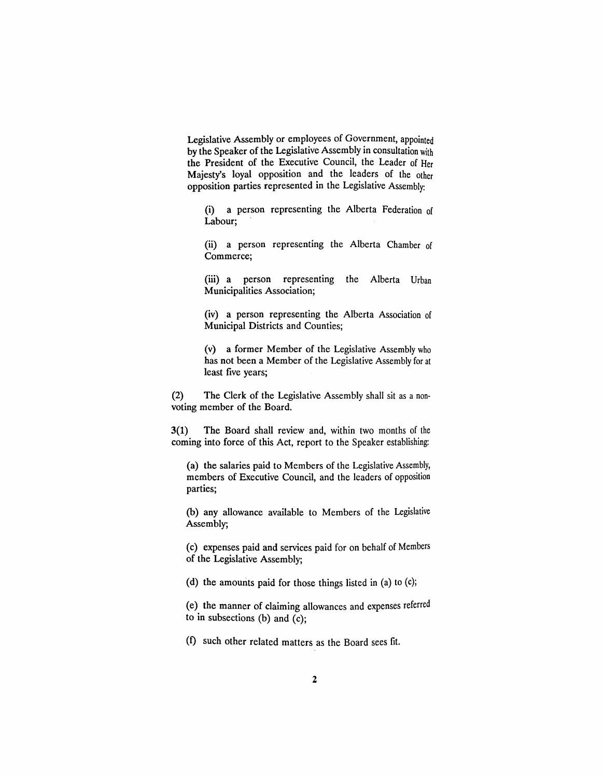Legislative Assembly or employees of Government, appointed by the Speaker of the Legislative Assembly in consultation with the President of the Executive Council, the Leader of Her Majesty's loyal opposition and the leaders of the other opposition parties represented in the Legislative Assembly:

(i) a person representing the Alberta Federation of Labour;

(ii) a person representing the Alberta Chamber of Commerce;

(iii) a person representing the Alberta Urban Municipalities Association;

(iv) a person representing the Alberta Association of Municipal Districts and Counties;

(v) a former Member of the Legislative Assembly who has not been a Member of the Legislative Assembly for at least five years;

(2) The Clerk of the Legislative Assembly shall sit as a non· voting member of the Board.

3(1) The Board shall review and, within two months of the coming into force of this Act, report to the Speaker establishing:

(a) the salaries paid to Members of the Legislative Assembly, members of Executive Council, and the leaders of opposition parties;

(b) any allowance available to Members of the Legislative Assembly;

(c) expenses paid and services paid for on behalf of Members of the Legislative Assembly;

(d) the amounts paid for those things listed in (a) to (c);

(e) the manner of claiming allowances and expenses referred to in subsections (b) and (c);

(f) such other related matters as the Board sees fit.